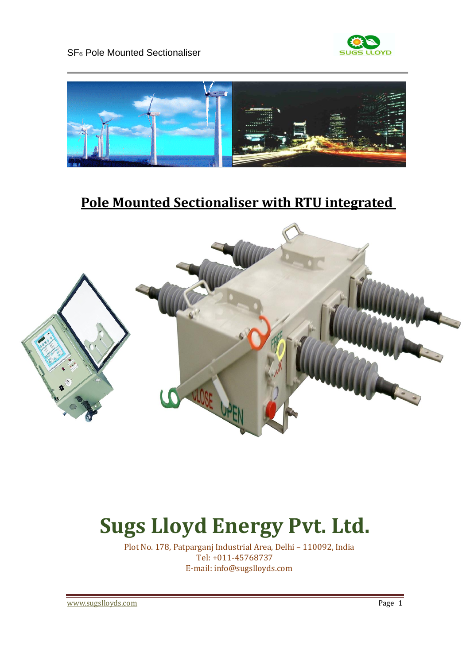

SF<sup>6</sup> Pole Mounted Sectionaliser



# **Pole Mounted Sectionaliser with RTU integrated**



# **Sugs Lloyd Energy Pvt. Ltd.**

Plot No. 178, Patparganj Industrial Area, Delhi – 110092, India Tel: +011-45768737 E-mail: info@sugslloyds.com

[www.sugslloyds.com](http://www.sugslloyds.com/) Page 1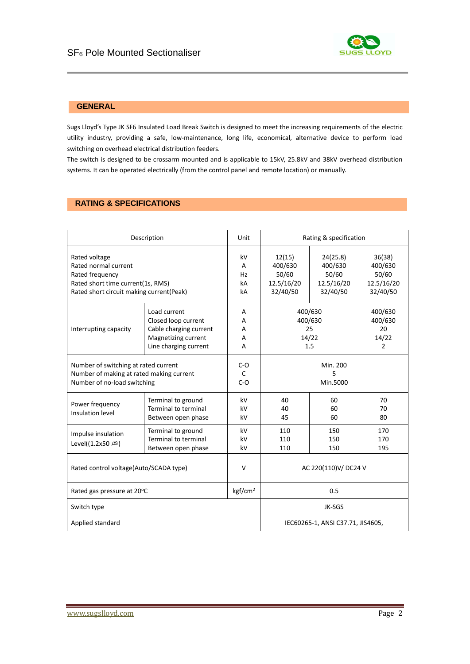

# **GENERAL**

Sugs Lloyd's Type JK SF6 Insulated Load Break Switch is designed to meet the increasing requirements of the electric utility industry, providing a safe, low-maintenance, long life, economical, alternative device to perform load switching on overhead electrical distribution feeders.

The switch is designed to be crossarm mounted and is applicable to 15kV, 25.8kV and 38kV overhead distribution systems. It can be operated electrically (from the control panel and remote location) or manually.

# **RATING & SPECIFICATIONS**

|                                                                                                                                           | Description                                                                                                   | Unit                      |                                                                                                                | Rating & specification            |                                                      |
|-------------------------------------------------------------------------------------------------------------------------------------------|---------------------------------------------------------------------------------------------------------------|---------------------------|----------------------------------------------------------------------------------------------------------------|-----------------------------------|------------------------------------------------------|
| Rated voltage<br>Rated normal current<br>Rated frequency<br>Rated short time current(1s, RMS)<br>Rated short circuit making current(Peak) |                                                                                                               | kV<br>A<br>Hz<br>kA<br>kA | 24(25.8)<br>12(15)<br>400/630<br>400/630<br>50/60<br>50/60<br>12.5/16/20<br>12.5/16/20<br>32/40/50<br>32/40/50 |                                   | 36(38)<br>400/630<br>50/60<br>12.5/16/20<br>32/40/50 |
| Interrupting capacity                                                                                                                     | Load current<br>Closed loop current<br>Cable charging current<br>Magnetizing current<br>Line charging current | А<br>A<br>A<br>A<br>A     | 400/630<br>400/630<br>25<br>14/22<br>1.5                                                                       |                                   | 400/630<br>400/630<br>20<br>14/22<br>$\overline{2}$  |
| Number of switching at rated current<br>Number of making at rated making current<br>Number of no-load switching                           |                                                                                                               | $C-O$<br>C<br>$C-O$       | Min. 200<br>5<br>Min.5000                                                                                      |                                   |                                                      |
| Power frequency<br>Insulation level                                                                                                       | Terminal to ground<br>Terminal to terminal<br>Between open phase                                              | kV<br>kV<br>kV            | 40<br>40<br>45                                                                                                 | 60<br>60<br>60                    | 70<br>70<br>80                                       |
| Impulse insulation<br>Level( $(1.2x50 \ \mu s)$                                                                                           | Terminal to ground<br>Terminal to terminal<br>Between open phase                                              | kV<br>kV<br>kV            | 110<br>110<br>110                                                                                              | 150<br>150<br>150                 | 170<br>170<br>195                                    |
| Rated control voltage(Auto/SCADA type)                                                                                                    |                                                                                                               | $\vee$                    |                                                                                                                | AC 220(110)V/ DC24 V              |                                                      |
| Rated gas pressure at 20°C                                                                                                                |                                                                                                               | kgf/cm <sup>2</sup>       | 0.5                                                                                                            |                                   |                                                      |
| Switch type                                                                                                                               |                                                                                                               | JK-SGS                    |                                                                                                                |                                   |                                                      |
| Applied standard                                                                                                                          |                                                                                                               |                           |                                                                                                                | IEC60265-1, ANSI C37.71, JIS4605, |                                                      |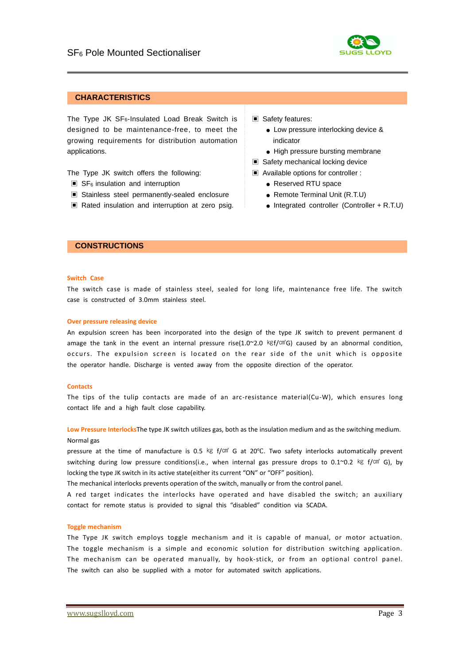

## **CHARACTERISTICS**

The Type JK  $SF_6$ -Insulated Load Break Switch is designed to be maintenance-free, to meet the growing requirements for distribution automation applications.

The Type JK switch offers the following:

- $\blacksquare$  SF<sub>6</sub> insulation and interruption
- ▣ Stainless steel permanently-sealed enclosure
- Rated insulation and interruption at zero psig.

▣ Safety features:

- Low pressure interlocking device & indicator
- High pressure bursting membrane
- ▣ Safety mechanical locking device
- ▣ Available options for controller :
	- Reserved RTU space
	- Remote Terminal Unit (R.T.U)
	- $\bullet$  Integrated controller (Controller + R.T.U)

#### **CONSTRUCTIONS**

#### **Switch Case**

The switch case is made of stainless steel, sealed for long life, maintenance free life. The switch case is constructed of 3.0mm stainless steel.

#### **Over pressure releasing device**

An expulsion screen has been incorporated into the design of the type JK switch to prevent permanent d amage the tank in the event an internal pressure rise(1.0~2.0 kgf/cm<sup>2</sup>G) caused by an abnormal condition, occurs. The expulsion screen is located on the rear side of the unit which is opposite the operator handle. Discharge is vented away from the opposite direction of the operator.

#### **Contacts**

The tips of the tulip contacts are made of an arc-resistance material(Cu-W), which ensures long contact life and a high fault close capability.

**Low Pressure Interlocks**The type JK switch utilizes gas, both as the insulation medium and as the switching medium. Normal gas

pressure at the time of manufacture is 0.5 kg f/cm G at 20°C. Two safety interlocks automatically prevent switching during low pressure conditions(i.e., when internal gas pressure drops to 0.1~0.2 kg f/cm<sup>2</sup> G), by locking the type JK switch in its active state(either its current "ON" or "OFF" position).

The mechanical interlocks prevents operation of the switch, manually or from the control panel.

A red target indicates the interlocks have operated and have disabled the switch; an auxiliary contact for remote status is provided to signal this "disabled" condition via SCADA.

#### **Toggle mechanism**

The Type JK switch employs toggle mechanism and it is capable of manual, or motor actuation. The toggle mechanism is a simple and economic solution for distribution switching application. The mechanism can be operated manually, by hook-stick, or from an optional control panel. The switch can also be supplied with a motor for automated switch applications.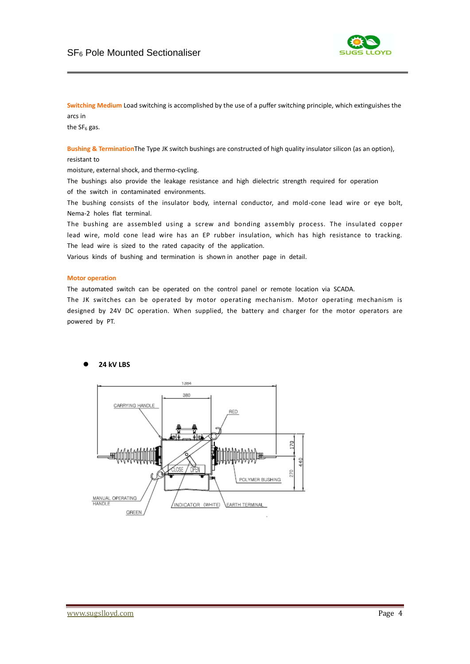

**Switching Medium** Load switching is accomplished by the use of a puffer switching principle, which extinguishes the arcs in

the  $SF<sub>6</sub>$  gas.

**Bushing & Termination**The Type JK switch bushings are constructed of high quality insulator silicon (as an option), resistant to

moisture, external shock, and thermo-cycling.

The bushings also provide the leakage resistance and high dielectric strength required for operation of the switch in contaminated environments.

The bushing consists of the insulator body, internal conductor, and mold-cone lead wire or eye bolt, Nema-2 holes flat terminal.

The bushing are assembled using a screw and bonding assembly process. The insulated copper lead wire, mold cone lead wire has an EP rubber insulation, which has high resistance to tracking. The lead wire is sized to the rated capacity of the application.

Various kinds of bushing and termination is shown in another page in detail.

#### **Motor operation**

The automated switch can be operated on the control panel or remote location via SCADA.

The JK switches can be operated by motor operating mechanism. Motor operating mechanism is designed by 24V DC operation. When supplied, the battery and charger for the motor operators are powered by PT.

#### ⚫ **24 kV LBS**

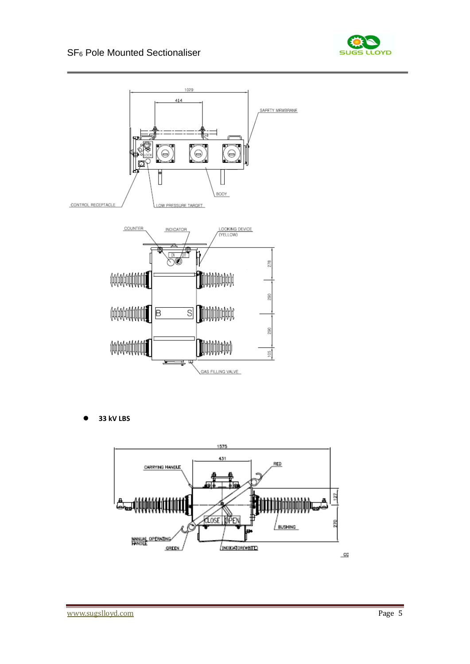



⚫ **33 kV LBS** 

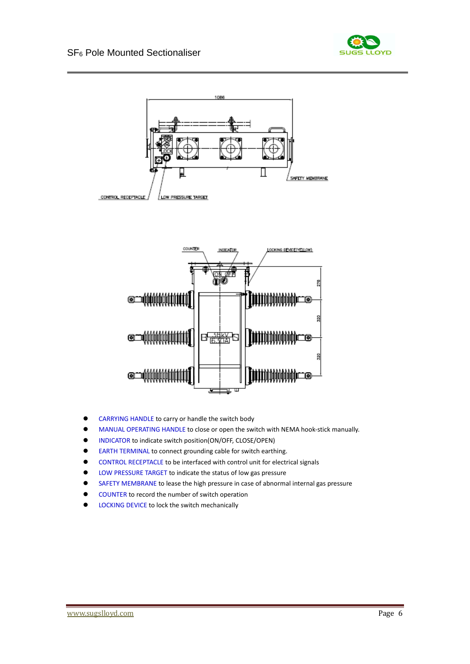





- CARRYING HANDLE to carry or handle the switch body
- ⚫ MANUAL OPERATING HANDLE to close or open the switch with NEMA hook-stick manually.
- ⚫ INDICATOR to indicate switch position(ON/OFF, CLOSE/OPEN)
- ⚫ EARTH TERMINAL to connect grounding cable for switch earthing.
- CONTROL RECEPTACLE to be interfaced with control unit for electrical signals
- ⚫ LOW PRESSURE TARGET to indicate the status of low gas pressure
- SAFETY MEMBRANE to lease the high pressure in case of abnormal internal gas pressure
- ⚫ COUNTER to record the number of switch operation
- LOCKING DEVICE to lock the switch mechanically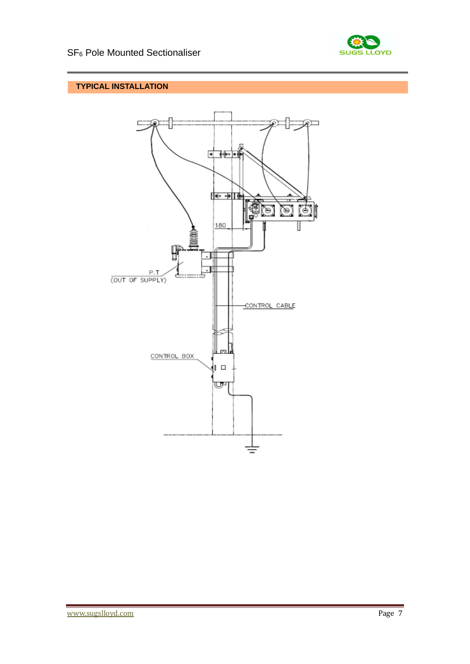

# **TYPICAL INSTALLATION**

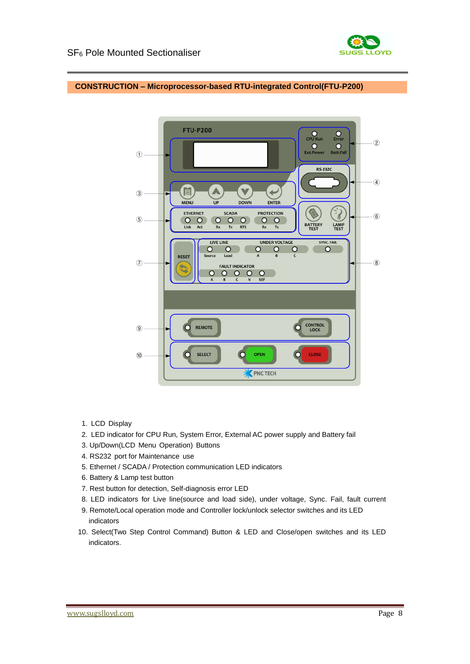



# **CONSTRUCTION – Microprocessor-based RTU-integrated Control(FTU-P200)**

- 1. LCD Display
- 2. LED indicator for CPU Run, System Error, External AC power supply and Battery fail
- 3. Up/Down(LCD Menu Operation) Buttons
- 4. RS232 port for Maintenance use
- 5. Ethernet / SCADA / Protection communication LED indicators
- 6. Battery & Lamp test button
- 7. Rest button for detection, Self-diagnosis error LED
- 8. LED indicators for Live line(source and load side), under voltage, Sync. Fail, fault current
- 9. Remote/Local operation mode and Controller lock/unlock selector switches and its LED indicators
- 10. Select(Two Step Control Command) Button & LED and Close/open switches and its LED indicators.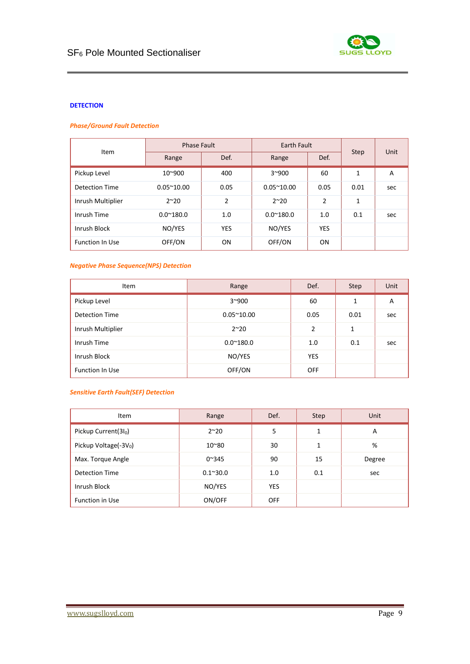

# **DETECTION**

#### *Phase/Ground Fault Detection*

|                        |                    | Phase Fault    |                    | Earth Fault    |             |      |
|------------------------|--------------------|----------------|--------------------|----------------|-------------|------|
| Item                   | Range              | Def.           | Range              | Def.           | <b>Step</b> | Unit |
| Pickup Level           | 10~900             | 400            | $3^{\sim}900$      | 60             | 1           | A    |
| Detection Time         | $0.05^{\sim}10.00$ | 0.05           | $0.05^{\sim}10.00$ | 0.05           | 0.01        | sec  |
| Inrush Multiplier      | $2^{\sim}20$       | $\overline{2}$ | $2^{\sim}20$       | $\overline{2}$ | 1           |      |
| Inrush Time            | $0.0^{\sim}180.0$  | 1.0            | $0.0^{\sim}180.0$  | 1.0            | 0.1         | sec  |
| Inrush Block           | NO/YES             | <b>YES</b>     | NO/YES             | <b>YES</b>     |             |      |
| <b>Function In Use</b> | OFF/ON             | <b>ON</b>      | OFF/ON             | 0N             |             |      |

#### *Negative Phase Sequence(NPS) Detection*

| Item                   | Range              | Def.       | Step | Unit |
|------------------------|--------------------|------------|------|------|
| Pickup Level           | $3^{\sim}900$      | 60         | 1    | A    |
| <b>Detection Time</b>  | $0.05^{\sim}10.00$ | 0.05       | 0.01 | sec  |
| Inrush Multiplier      | $2^{\sim}20$       | 2          | 1    |      |
| Inrush Time            | $0.0^{\sim}180.0$  | 1.0        | 0.1  | sec  |
| Inrush Block           | NO/YES             | <b>YES</b> |      |      |
| <b>Function In Use</b> | OFF/ON             | <b>OFF</b> |      |      |

## *Sensitive Earth Fault(SEF) Detection*

| <b>Item</b>              | Range            | Def.       | <b>Step</b> | Unit   |
|--------------------------|------------------|------------|-------------|--------|
| Pickup Current $(3I_0)$  | $2^{\sim}20$     | 5          | 1           | A      |
| Pickup Voltage $(-3V_0)$ | $10^{\circ}80$   | 30         | 1           | %      |
| Max. Torque Angle        | $0^{\sim}345$    | 90         | 15          | Degree |
| <b>Detection Time</b>    | $0.1^{\sim}30.0$ | 1.0        | 0.1         | sec    |
| Inrush Block             | NO/YES           | <b>YES</b> |             |        |
| <b>Function in Use</b>   | ON/OFF           | <b>OFF</b> |             |        |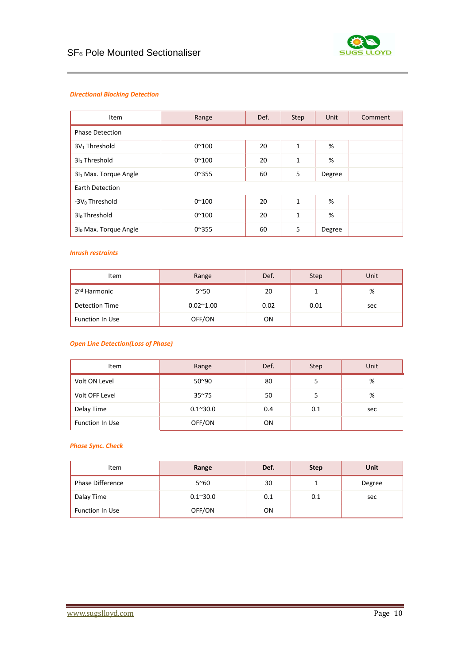

#### *Directional Blocking Detection*

| Item                       | Range         | Def. | Step         | Unit   | Comment |
|----------------------------|---------------|------|--------------|--------|---------|
| <b>Phase Detection</b>     |               |      |              |        |         |
| 3V <sub>1</sub> Threshold  | $0^{\sim}100$ | 20   | $\mathbf{1}$ | %      |         |
| $3I1$ Threshold            | $0^{\sim}100$ | 20   | 1            | %      |         |
| $3I1$ Max. Torque Angle    | $0^{\sim}355$ | 60   | 5            | Degree |         |
| <b>Earth Detection</b>     |               |      |              |        |         |
| -3V <sub>0</sub> Threshold | $0^{\sim}100$ | 20   | $\mathbf{1}$ | %      |         |
| $3I_0$ Threshold           | $0^{\sim}100$ | 20   | 1            | %      |         |
| $3I_0$ Max. Torque Angle   | $0^{\sim}355$ | 60   | 5            | Degree |         |

#### *Inrush restraints*

| <b>Item</b>              | Range             | Def. | Step | Unit |
|--------------------------|-------------------|------|------|------|
| 2 <sup>nd</sup> Harmonic | $5^{\sim}50$      | 20   |      | %    |
| <b>Detection Time</b>    | $0.02^{\sim}1.00$ | 0.02 | 0.01 | sec  |
| <b>Function In Use</b>   | OFF/ON            | ΟN   |      |      |

# *Open Line Detection(Loss of Phase)*

| Item                   | Range            | Def. | <b>Step</b> | Unit |
|------------------------|------------------|------|-------------|------|
| Volt ON Level          | 50~90            | 80   |             | %    |
| Volt OFF Level         | $35^{\circ}75$   | 50   |             | %    |
| Delay Time             | $0.1^{\sim}30.0$ | 0.4  | 0.1         | sec  |
| <b>Function In Use</b> | OFF/ON           | 0N   |             |      |

## *Phase Sync. Check*

| <b>Item</b>             | Range            | Def. | <b>Step</b> | Unit   |
|-------------------------|------------------|------|-------------|--------|
| <b>Phase Difference</b> | $5^{\sim}60$     | 30   |             | Degree |
| Dalay Time              | $0.1^{\sim}30.0$ | 0.1  | 0.1         | sec    |
| <b>Function In Use</b>  | OFF/ON           | ON   |             |        |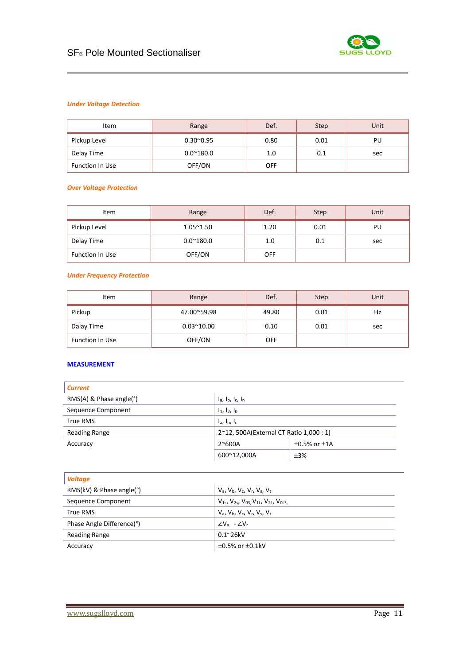

#### *Under Voltage Detection*

| Item                   | Range              | Def.       | Step | Unit |
|------------------------|--------------------|------------|------|------|
| Pickup Level           | $0.30^{\circ}0.95$ | 0.80       | 0.01 | PU   |
| Delay Time             | $0.0^{\sim}180.0$  | 1.0        | 0.1  | sec  |
| <b>Function In Use</b> | OFF/ON             | <b>OFF</b> |      |      |

#### *Over Voltage Protection*

| Item                   | Range             | Def.       | Step | Unit |
|------------------------|-------------------|------------|------|------|
| Pickup Level           | $1.05^{\sim}1.50$ | 1.20       | 0.01 | PU   |
| Delay Time             | $0.0^{\sim}180.0$ | 1.0        | 0.1  | sec  |
| <b>Function In Use</b> | OFF/ON            | <b>OFF</b> |      |      |

# *Under Frequency Protection*

| Item            | Range              | Def.       | <b>Step</b> | Unit |
|-----------------|--------------------|------------|-------------|------|
| Pickup          | 47.00~59.98        | 49.80      | 0.01        | Hz   |
| Dalay Time      | $0.03^{\sim}10.00$ | 0.10       | 0.01        | sec  |
| Function In Use | OFF/ON             | <b>OFF</b> |             |      |

# **MEASUREMENT**

| <b>Current</b>                     |                                         |                        |  |
|------------------------------------|-----------------------------------------|------------------------|--|
| RMS(A) & Phase angle( $^{\circ}$ ) | $I_a$ , $I_b$ , $I_c$ , $I_n$           |                        |  |
| Sequence Component                 | $I_1$ , $I_2$ , $I_0$                   |                        |  |
| True RMS                           | $I_a$ , $I_b$ , $I_c$                   |                        |  |
| Reading Range                      | 2~12, 500A(External CT Ratio 1,000 : 1) |                        |  |
| Accuracy                           | $2^{\sim}600A$                          | $\pm$ 0.5% or $\pm$ 1A |  |
|                                    | 600~12,000A                             | $+3%$                  |  |

| Voltage                             |                                                                  |
|-------------------------------------|------------------------------------------------------------------|
| RMS(kV) & Phase angle( $^{\circ}$ ) | $V_{a}$ , $V_{b}$ , $V_{c}$ , $V_{r}$ , $V_{s}$ , $V_{t}$        |
| Sequence Component                  | $V_{1s}$ , $V_{2s}$ , $V_{0s}$ , $V_{1L}$ , $V_{2L}$ , $V_{0LS}$ |
| True RMS                            | $V_a$ , $V_b$ , $V_c$ , $V_r$ , $V_s$ , $V_t$                    |
| Phase Angle Difference(°)           | $\angle V_a - \angle V_r$                                        |
| Reading Range                       | $0.1^{\sim}26kV$                                                 |
| Accuracy                            | $\pm 0.5\%$ or $\pm 0.1$ kV                                      |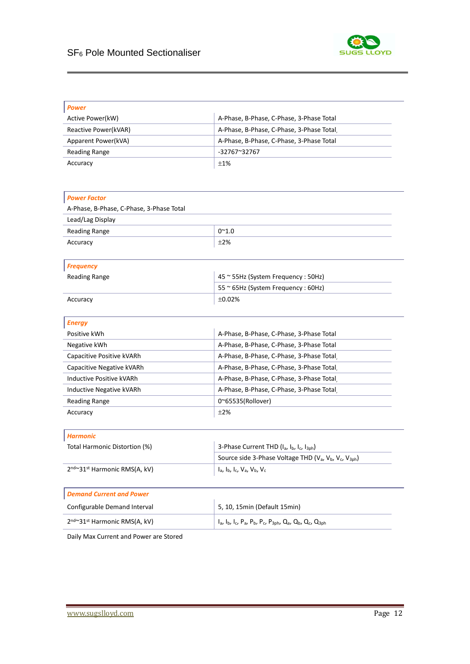

| <b>Power</b>                                          |                                                                                                        |
|-------------------------------------------------------|--------------------------------------------------------------------------------------------------------|
| Active Power(kW)                                      | A-Phase, B-Phase, C-Phase, 3-Phase Total                                                               |
| Reactive Power(kVAR)                                  | A-Phase, B-Phase, C-Phase, 3-Phase Total                                                               |
| Apparent Power(kVA)                                   | A-Phase, B-Phase, C-Phase, 3-Phase Total                                                               |
| Reading Range                                         | -32767~32767                                                                                           |
| Accuracy                                              | ±1%                                                                                                    |
|                                                       |                                                                                                        |
|                                                       |                                                                                                        |
| <b>Power Factor</b>                                   |                                                                                                        |
| A-Phase, B-Phase, C-Phase, 3-Phase Total              |                                                                                                        |
| Lead/Lag Display                                      |                                                                                                        |
| <b>Reading Range</b>                                  | $0^{\sim}1.0$                                                                                          |
| Accuracy                                              | ±2%                                                                                                    |
|                                                       |                                                                                                        |
| <b>Frequency</b>                                      |                                                                                                        |
| <b>Reading Range</b>                                  | 45 ~ 55Hz (System Frequency: 50Hz)                                                                     |
|                                                       | 55 ~ 65Hz (System Frequency: 60Hz)                                                                     |
| Accuracy                                              | ±0.02%                                                                                                 |
|                                                       |                                                                                                        |
| <b>Energy</b>                                         |                                                                                                        |
| Positive kWh                                          | A-Phase, B-Phase, C-Phase, 3-Phase Total                                                               |
| Negative kWh                                          | A-Phase, B-Phase, C-Phase, 3-Phase Total                                                               |
| Capacitive Positive kVARh                             | A-Phase, B-Phase, C-Phase, 3-Phase Total,                                                              |
| Capacitive Negative kVARh                             | A-Phase, B-Phase, C-Phase, 3-Phase Total,                                                              |
| Inductive Positive kVARh                              | A-Phase, B-Phase, C-Phase, 3-Phase Total,                                                              |
| Inductive Negative kVARh                              | A-Phase, B-Phase, C-Phase, 3-Phase Total                                                               |
| Reading Range                                         | 0~65535(Rollover)                                                                                      |
| Accuracy                                              | ±2%                                                                                                    |
|                                                       |                                                                                                        |
| <b>Harmonic</b>                                       |                                                                                                        |
| Total Harmonic Distortion (%)                         | 3-Phase Current THD (I <sub>a</sub> , I <sub>b</sub> , I <sub>c</sub> , I <sub>3ph</sub> )             |
|                                                       | Source side 3-Phase Voltage THD (V <sub>a</sub> , V <sub>b</sub> , V <sub>c</sub> , V <sub>3ph</sub> ) |
| 2 <sup>nd~</sup> 31 <sup>st</sup> Harmonic RMS(A, kV) | $I_a$ , $I_b$ , $I_c$ , $V_a$ , $V_b$ , $V_c$                                                          |
|                                                       |                                                                                                        |
| <b>Demand Current and Power</b>                       |                                                                                                        |
| Configurable Demand Interval                          | 5, 10, 15min (Default 15min)                                                                           |
|                                                       |                                                                                                        |
| 2nd~31st Harmonic RMS(A, kV)                          | $I_a$ , $I_b$ , $I_c$ , $P_a$ , $P_b$ , $P_c$ , $P_{3ph}$ , $Q_a$ , $Q_b$ , $Q_c$ , $Q_{3ph}$          |
|                                                       |                                                                                                        |

Daily Max Current and Power are Stored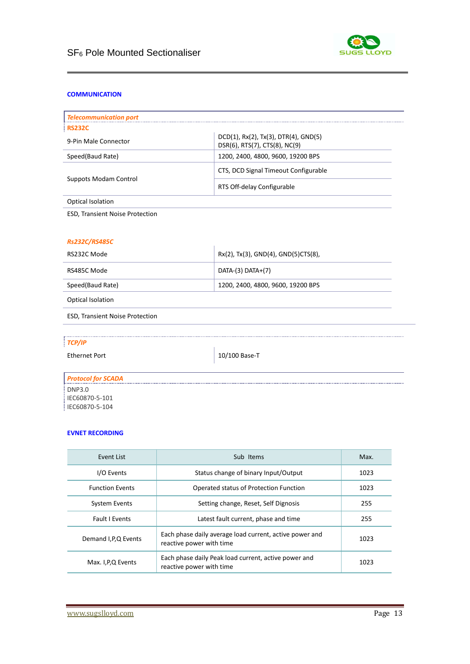

#### **COMMUNICATION**

| <b>Telecommunication port</b> |                                                                          |
|-------------------------------|--------------------------------------------------------------------------|
| <b>RS232C</b>                 |                                                                          |
| 9-Pin Male Connector          | $DCD(1)$ , Rx(2), Tx(3), DTR(4), GND(5)<br>DSR(6), RTS(7), CTS(8), NC(9) |
| Speed(Baud Rate)              | 1200, 2400, 4800, 9600, 19200 BPS                                        |
| Suppots Modam Control         | CTS, DCD Signal Timeout Configurable                                     |
|                               | RTS Off-delay Configurable                                               |
| Optical Isolation             |                                                                          |

ESD, Transient Noise Protection

#### *Rs232C/RS485C*

| RS232C Mode                            | $Rx(2)$ , Tx(3), GND(4), GND(5)CTS(8), |
|----------------------------------------|----------------------------------------|
| RS485C Mode                            | $DATA-(3)$ $DATA+(7)$                  |
| Speed(Baud Rate)                       | 1200, 2400, 4800, 9600, 19200 BPS      |
| Optical Isolation                      |                                        |
| <b>ESD, Transient Noise Protection</b> |                                        |
|                                        |                                        |

# *TCP/IP*

Ethernet Port 10/100 Base-T

| <b>Protocol for SCADA</b> |  |
|---------------------------|--|
| DNP3.0                    |  |
| IEC60870-5-101            |  |
| IEC60870-5-104            |  |

#### **EVNET RECORDING**

| Event List             | Sub Items                                                                           | Max. |
|------------------------|-------------------------------------------------------------------------------------|------|
| I/O Events             | Status change of binary Input/Output                                                | 1023 |
| <b>Function Events</b> | Operated status of Protection Function                                              | 1023 |
| System Events          | Setting change, Reset, Self Dignosis                                                | 255  |
| <b>Fault I Events</b>  | Latest fault current, phase and time                                                | 255  |
| Demand I, P, Q Events  | Each phase daily average load current, active power and<br>reactive power with time |      |
| Max. I, P, Q Events    | Each phase daily Peak load current, active power and<br>reactive power with time    | 1023 |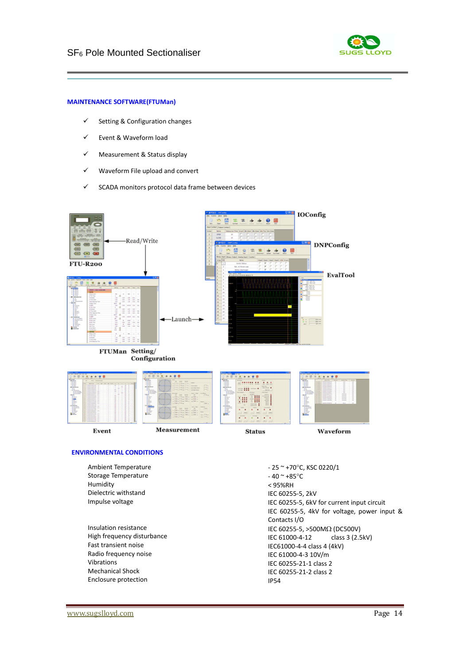

#### **MAINTENANCE SOFTWARE(FTUMan)**

- ✓ Setting & Configuration changes
- ✓ Event & Waveform load
- ✓ Measurement & Status display
- ✓ Waveform File upload and convert
- ✓ SCADA monitors protocol data frame between devices



- Impulse voltage
- Insulation resistance High frequency disturbance Fast transient noise Radio frequency noise Vibrations Mechanical Shock Enclosure protection

IEC 60255-5, 2kV IEC 60255-5, 6kV for current input circuit IEC 60255-5, 4kV for voltage, power input & Contacts I/O IEC 60255-5,  $>500$ M $\Omega$  (DC500V) IEC 61000-4-12 class 3 (2.5kV) IEC61000-4-4 class 4 (4kV) IEC 61000-4-3 10V/m IEC 60255-21-1 class 2 IEC 60255-21-2 class 2 IP54